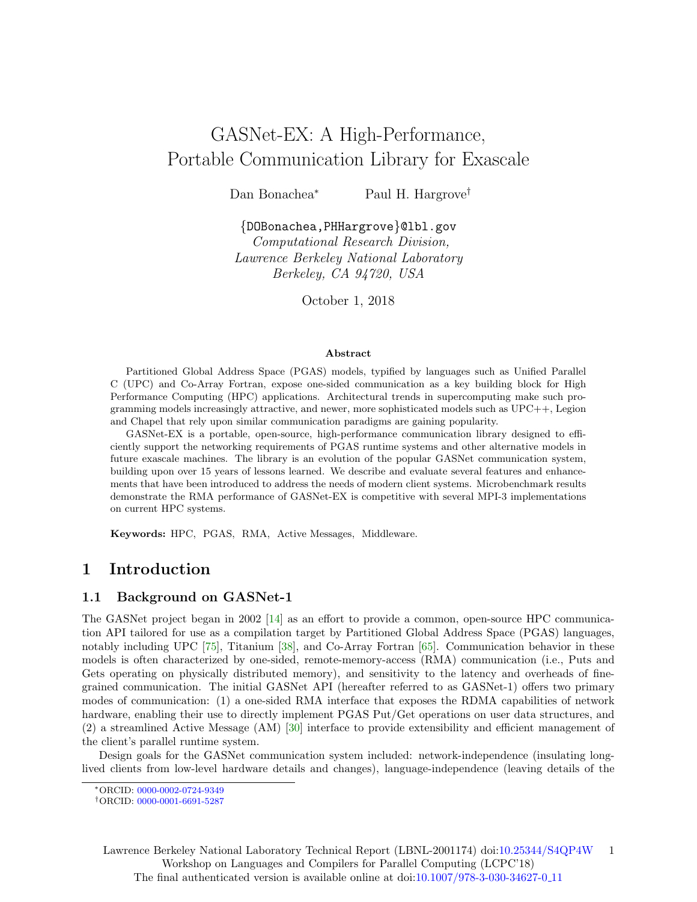# GASNet-EX: A High-Performance, Portable Communication Library for Exascale

Dan Bonachea<sup>∗</sup> Paul H. Hargrove†

{DOBonachea,PHHargrove}@lbl.gov Computational Research Division, Lawrence Berkeley National Laboratory Berkeley, CA 94720, USA

October 1, 2018

#### Abstract

Partitioned Global Address Space (PGAS) models, typified by languages such as Unified Parallel C (UPC) and Co-Array Fortran, expose one-sided communication as a key building block for High Performance Computing (HPC) applications. Architectural trends in supercomputing make such programming models increasingly attractive, and newer, more sophisticated models such as UPC++, Legion and Chapel that rely upon similar communication paradigms are gaining popularity.

GASNet-EX is a portable, open-source, high-performance communication library designed to efficiently support the networking requirements of PGAS runtime systems and other alternative models in future exascale machines. The library is an evolution of the popular GASNet communication system, building upon over 15 years of lessons learned. We describe and evaluate several features and enhancements that have been introduced to address the needs of modern client systems. Microbenchmark results demonstrate the RMA performance of GASNet-EX is competitive with several MPI-3 implementations on current HPC systems.

Keywords: HPC, PGAS, RMA, Active Messages, Middleware.

# 1 Introduction

#### <span id="page-0-0"></span>1.1 Background on GASNet-1

The GASNet project began in 2002 [\[14\]](#page-12-0) as an effort to provide a common, open-source HPC communication API tailored for use as a compilation target by Partitioned Global Address Space (PGAS) languages, notably including UPC [\[75\]](#page-15-0), Titanium [\[38\]](#page-13-0), and Co-Array Fortran [\[65\]](#page-14-0). Communication behavior in these models is often characterized by one-sided, remote-memory-access (RMA) communication (i.e., Puts and Gets operating on physically distributed memory), and sensitivity to the latency and overheads of finegrained communication. The initial GASNet API (hereafter referred to as GASNet-1) offers two primary modes of communication: (1) a one-sided RMA interface that exposes the RDMA capabilities of network hardware, enabling their use to directly implement PGAS Put/Get operations on user data structures, and (2) a streamlined Active Message (AM) [\[30\]](#page-13-1) interface to provide extensibility and efficient management of the client's parallel runtime system.

Design goals for the GASNet communication system included: network-independence (insulating longlived clients from low-level hardware details and changes), language-independence (leaving details of the

Lawrence Berkeley National Laboratory Technical Report (LBNL-2001174) doi[:10.25344/S4QP4W](https://doi.org/10.25344/S4QP4W) Workshop on Languages and Compilers for Parallel Computing (LCPC'18) The final authenticated version is available online at doi[:10.1007/978-3-030-34627-0](https://doi.org/10.1007/978-3-030-34627-0_11) 11 1

<sup>∗</sup>ORCID: [0000-0002-0724-9349](https://orcid.org/0000-0002-0724-9349)

<sup>†</sup>ORCID: [0000-0001-6691-5287](https://orcid.org/0000-0001-6691-5287)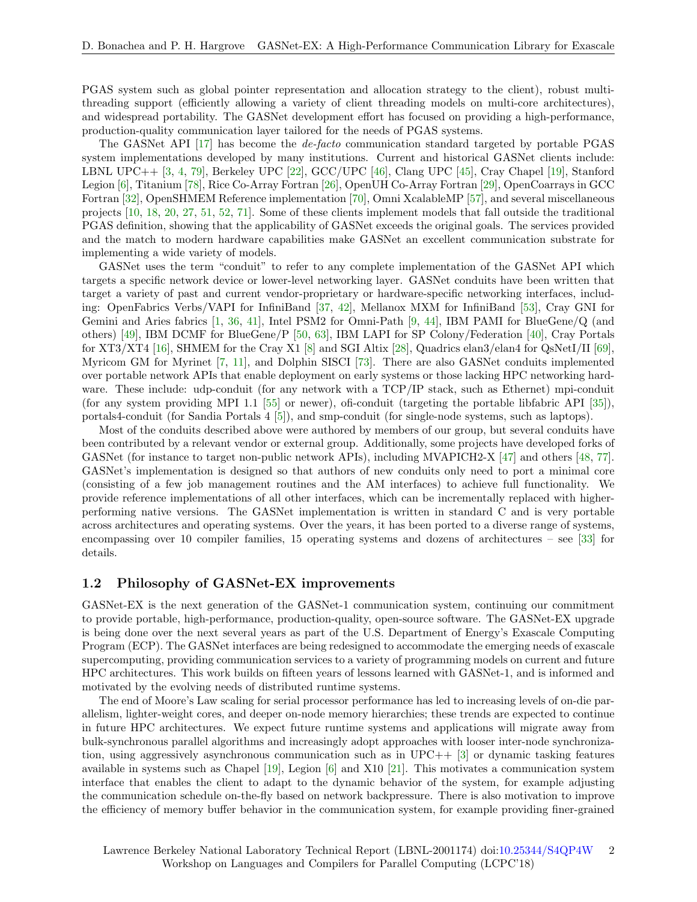PGAS system such as global pointer representation and allocation strategy to the client), robust multithreading support (efficiently allowing a variety of client threading models on multi-core architectures), and widespread portability. The GASNet development effort has focused on providing a high-performance, production-quality communication layer tailored for the needs of PGAS systems.

The GASNet API [\[17\]](#page-12-1) has become the de-facto communication standard targeted by portable PGAS system implementations developed by many institutions. Current and historical GASNet clients include: LBNL UPC++ [\[3,](#page-12-2) [4,](#page-12-3) [79\]](#page-15-1), Berkeley UPC [\[22\]](#page-13-2), GCC/UPC [\[46\]](#page-14-1), Clang UPC [\[45\]](#page-13-3), Cray Chapel [\[19\]](#page-12-4), Stanford Legion [\[6\]](#page-12-5), Titanium [\[78\]](#page-15-2), Rice Co-Array Fortran [\[26\]](#page-13-4), OpenUH Co-Array Fortran [\[29\]](#page-13-5), OpenCoarrays in GCC Fortran [\[32\]](#page-13-6), OpenSHMEM Reference implementation [\[70\]](#page-14-2), Omni XcalableMP [\[57\]](#page-14-3), and several miscellaneous projects [\[10,](#page-12-6) [18,](#page-12-7) [20,](#page-12-8) [27,](#page-13-7) [51,](#page-14-4) [52,](#page-14-5) [71\]](#page-14-6). Some of these clients implement models that fall outside the traditional PGAS definition, showing that the applicability of GASNet exceeds the original goals. The services provided and the match to modern hardware capabilities make GASNet an excellent communication substrate for implementing a wide variety of models.

GASNet uses the term "conduit" to refer to any complete implementation of the GASNet API which targets a specific network device or lower-level networking layer. GASNet conduits have been written that target a variety of past and current vendor-proprietary or hardware-specific networking interfaces, including: OpenFabrics Verbs/VAPI for InfiniBand [\[37,](#page-13-8) [42\]](#page-13-9), Mellanox MXM for InfiniBand [\[53\]](#page-14-7), Cray GNI for Gemini and Aries fabrics [\[1,](#page-12-9) [36,](#page-13-10) [41\]](#page-13-11), Intel PSM2 for Omni-Path [\[9,](#page-12-10) [44\]](#page-13-12), IBM PAMI for BlueGene/Q (and others) [\[49\]](#page-14-8), IBM DCMF for BlueGene/P [\[50,](#page-14-9) [63\]](#page-14-10), IBM LAPI for SP Colony/Federation [\[40\]](#page-13-13), Cray Portals for XT3/XT4 [\[16\]](#page-12-11), SHMEM for the Cray X1 [\[8\]](#page-12-12) and SGI Altix [\[28\]](#page-13-14), Quadrics elan3/elan4 for QsNetI/II [\[69\]](#page-14-11). Myricom GM for Myrinet [\[7,](#page-12-13) [11\]](#page-12-14), and Dolphin SISCI [\[73\]](#page-15-3). There are also GASNet conduits implemented over portable network APIs that enable deployment on early systems or those lacking HPC networking hardware. These include: udp-conduit (for any network with a TCP/IP stack, such as Ethernet) mpi-conduit (for any system providing MPI 1.1 [\[55\]](#page-14-12) or newer), ofi-conduit (targeting the portable libfabric API [\[35\]](#page-13-15)), portals4-conduit (for Sandia Portals 4 [\[5\]](#page-12-15)), and smp-conduit (for single-node systems, such as laptops).

Most of the conduits described above were authored by members of our group, but several conduits have been contributed by a relevant vendor or external group. Additionally, some projects have developed forks of GASNet (for instance to target non-public network APIs), including MVAPICH2-X [\[47\]](#page-14-13) and others [\[48,](#page-14-14) [77\]](#page-15-4). GASNet's implementation is designed so that authors of new conduits only need to port a minimal core (consisting of a few job management routines and the AM interfaces) to achieve full functionality. We provide reference implementations of all other interfaces, which can be incrementally replaced with higherperforming native versions. The GASNet implementation is written in standard C and is very portable across architectures and operating systems. Over the years, it has been ported to a diverse range of systems, encompassing over 10 compiler families, 15 operating systems and dozens of architectures – see [\[33\]](#page-13-16) for details.

#### 1.2 Philosophy of GASNet-EX improvements

GASNet-EX is the next generation of the GASNet-1 communication system, continuing our commitment to provide portable, high-performance, production-quality, open-source software. The GASNet-EX upgrade is being done over the next several years as part of the U.S. Department of Energy's Exascale Computing Program (ECP). The GASNet interfaces are being redesigned to accommodate the emerging needs of exascale supercomputing, providing communication services to a variety of programming models on current and future HPC architectures. This work builds on fifteen years of lessons learned with GASNet-1, and is informed and motivated by the evolving needs of distributed runtime systems.

The end of Moore's Law scaling for serial processor performance has led to increasing levels of on-die parallelism, lighter-weight cores, and deeper on-node memory hierarchies; these trends are expected to continue in future HPC architectures. We expect future runtime systems and applications will migrate away from bulk-synchronous parallel algorithms and increasingly adopt approaches with looser inter-node synchronization, using aggressively asynchronous communication such as in UPC++ [\[3\]](#page-12-2) or dynamic tasking features available in systems such as Chapel [\[19\]](#page-12-4), Legion [\[6\]](#page-12-5) and X10 [\[21\]](#page-12-16). This motivates a communication system interface that enables the client to adapt to the dynamic behavior of the system, for example adjusting the communication schedule on-the-fly based on network backpressure. There is also motivation to improve the efficiency of memory buffer behavior in the communication system, for example providing finer-grained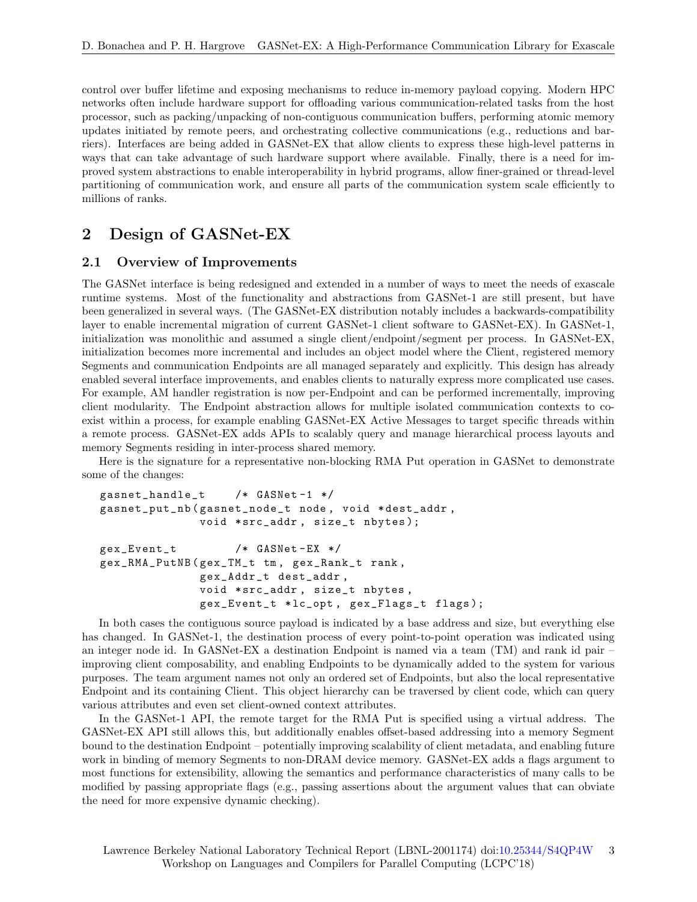control over buffer lifetime and exposing mechanisms to reduce in-memory payload copying. Modern HPC networks often include hardware support for offloading various communication-related tasks from the host processor, such as packing/unpacking of non-contiguous communication buffers, performing atomic memory updates initiated by remote peers, and orchestrating collective communications (e.g., reductions and barriers). Interfaces are being added in GASNet-EX that allow clients to express these high-level patterns in ways that can take advantage of such hardware support where available. Finally, there is a need for improved system abstractions to enable interoperability in hybrid programs, allow finer-grained or thread-level partitioning of communication work, and ensure all parts of the communication system scale efficiently to millions of ranks.

# <span id="page-2-0"></span>2 Design of GASNet-EX

### <span id="page-2-1"></span>2.1 Overview of Improvements

The GASNet interface is being redesigned and extended in a number of ways to meet the needs of exascale runtime systems. Most of the functionality and abstractions from GASNet-1 are still present, but have been generalized in several ways. (The GASNet-EX distribution notably includes a backwards-compatibility layer to enable incremental migration of current GASNet-1 client software to GASNet-EX). In GASNet-1, initialization was monolithic and assumed a single client/endpoint/segment per process. In GASNet-EX, initialization becomes more incremental and includes an object model where the Client, registered memory Segments and communication Endpoints are all managed separately and explicitly. This design has already enabled several interface improvements, and enables clients to naturally express more complicated use cases. For example, AM handler registration is now per-Endpoint and can be performed incrementally, improving client modularity. The Endpoint abstraction allows for multiple isolated communication contexts to coexist within a process, for example enabling GASNet-EX Active Messages to target specific threads within a remote process. GASNet-EX adds APIs to scalably query and manage hierarchical process layouts and memory Segments residing in inter-process shared memory.

Here is the signature for a representative non-blocking RMA Put operation in GASNet to demonstrate some of the changes:

```
gasnet_handle_t /* GASNet -1 */
gasnet_put_nb ( gasnet_node_t node , void * dest_addr ,
               void *src_addr, size_t nbytes);
gex_Event_t /* GASNet - EX */
gex_RMA_PutNB ( gex_TM_t tm , gex_Rank_t rank ,
               gex_Addr_t dest_addr ,
              void * src_addr , size_t nbytes ,
               gex_Event_t * lc_opt , gex_Flags_t flags );
```
In both cases the contiguous source payload is indicated by a base address and size, but everything else has changed. In GASNet-1, the destination process of every point-to-point operation was indicated using an integer node id. In GASNet-EX a destination Endpoint is named via a team (TM) and rank id pair – improving client composability, and enabling Endpoints to be dynamically added to the system for various purposes. The team argument names not only an ordered set of Endpoints, but also the local representative Endpoint and its containing Client. This object hierarchy can be traversed by client code, which can query various attributes and even set client-owned context attributes.

In the GASNet-1 API, the remote target for the RMA Put is specified using a virtual address. The GASNet-EX API still allows this, but additionally enables offset-based addressing into a memory Segment bound to the destination Endpoint – potentially improving scalability of client metadata, and enabling future work in binding of memory Segments to non-DRAM device memory. GASNet-EX adds a flags argument to most functions for extensibility, allowing the semantics and performance characteristics of many calls to be modified by passing appropriate flags (e.g., passing assertions about the argument values that can obviate the need for more expensive dynamic checking).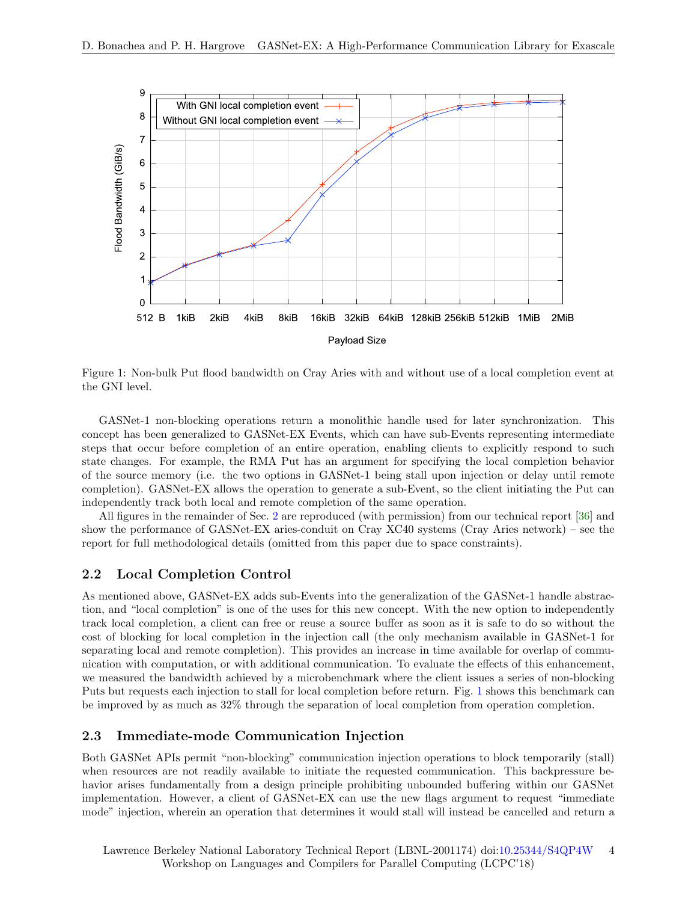

<span id="page-3-0"></span>Figure 1: Non-bulk Put flood bandwidth on Cray Aries with and without use of a local completion event at the GNI level.

GASNet-1 non-blocking operations return a monolithic handle used for later synchronization. This concept has been generalized to GASNet-EX Events, which can have sub-Events representing intermediate steps that occur before completion of an entire operation, enabling clients to explicitly respond to such state changes. For example, the RMA Put has an argument for specifying the local completion behavior of the source memory (i.e. the two options in GASNet-1 being stall upon injection or delay until remote completion). GASNet-EX allows the operation to generate a sub-Event, so the client initiating the Put can independently track both local and remote completion of the same operation.

All figures in the remainder of Sec. [2](#page-2-0) are reproduced (with permission) from our technical report [\[36\]](#page-13-10) and show the performance of GASNet-EX aries-conduit on Cray XC40 systems (Cray Aries network) – see the report for full methodological details (omitted from this paper due to space constraints).

### 2.2 Local Completion Control

As mentioned above, GASNet-EX adds sub-Events into the generalization of the GASNet-1 handle abstraction, and "local completion" is one of the uses for this new concept. With the new option to independently track local completion, a client can free or reuse a source buffer as soon as it is safe to do so without the cost of blocking for local completion in the injection call (the only mechanism available in GASNet-1 for separating local and remote completion). This provides an increase in time available for overlap of communication with computation, or with additional communication. To evaluate the effects of this enhancement, we measured the bandwidth achieved by a microbenchmark where the client issues a series of non-blocking Puts but requests each injection to stall for local completion before return. Fig. [1](#page-3-0) shows this benchmark can be improved by as much as 32% through the separation of local completion from operation completion.

#### <span id="page-3-1"></span>2.3 Immediate-mode Communication Injection

Both GASNet APIs permit "non-blocking" communication injection operations to block temporarily (stall) when resources are not readily available to initiate the requested communication. This backpressure behavior arises fundamentally from a design principle prohibiting unbounded buffering within our GASNet implementation. However, a client of GASNet-EX can use the new flags argument to request "immediate mode" injection, wherein an operation that determines it would stall will instead be cancelled and return a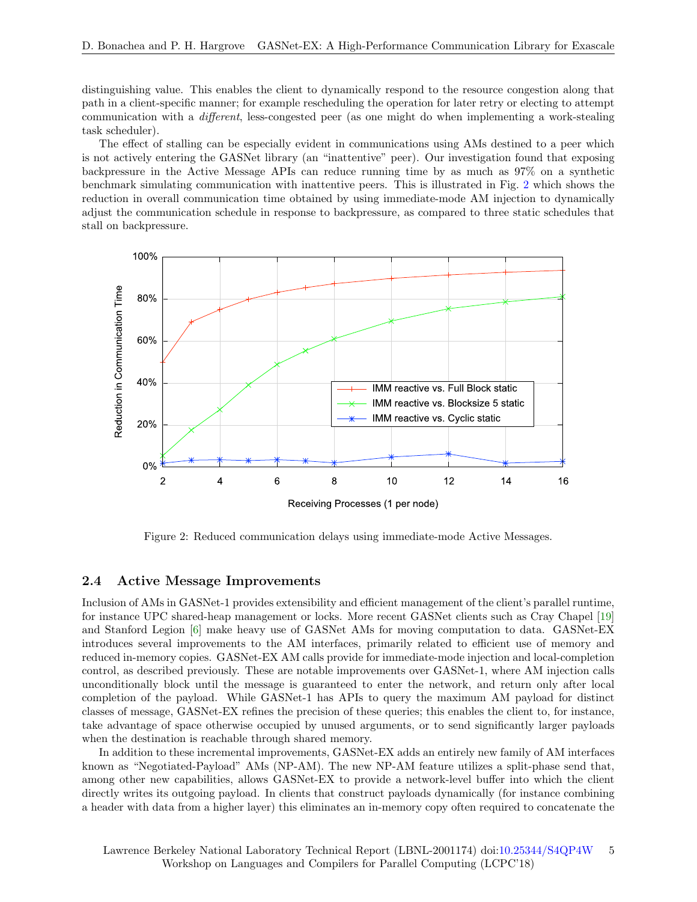distinguishing value. This enables the client to dynamically respond to the resource congestion along that path in a client-specific manner; for example rescheduling the operation for later retry or electing to attempt communication with a different, less-congested peer (as one might do when implementing a work-stealing task scheduler).

The effect of stalling can be especially evident in communications using AMs destined to a peer which is not actively entering the GASNet library (an "inattentive" peer). Our investigation found that exposing backpressure in the Active Message APIs can reduce running time by as much as 97% on a synthetic benchmark simulating communication with inattentive peers. This is illustrated in Fig. [2](#page-4-0) which shows the reduction in overall communication time obtained by using immediate-mode AM injection to dynamically adjust the communication schedule in response to backpressure, as compared to three static schedules that stall on backpressure.



<span id="page-4-0"></span>Figure 2: Reduced communication delays using immediate-mode Active Messages.

#### 2.4 Active Message Improvements

Inclusion of AMs in GASNet-1 provides extensibility and efficient management of the client's parallel runtime, for instance UPC shared-heap management or locks. More recent GASNet clients such as Cray Chapel [\[19\]](#page-12-4) and Stanford Legion [\[6\]](#page-12-5) make heavy use of GASNet AMs for moving computation to data. GASNet-EX introduces several improvements to the AM interfaces, primarily related to efficient use of memory and reduced in-memory copies. GASNet-EX AM calls provide for immediate-mode injection and local-completion control, as described previously. These are notable improvements over GASNet-1, where AM injection calls unconditionally block until the message is guaranteed to enter the network, and return only after local completion of the payload. While GASNet-1 has APIs to query the maximum AM payload for distinct classes of message, GASNet-EX refines the precision of these queries; this enables the client to, for instance, take advantage of space otherwise occupied by unused arguments, or to send significantly larger payloads when the destination is reachable through shared memory.

In addition to these incremental improvements, GASNet-EX adds an entirely new family of AM interfaces known as "Negotiated-Payload" AMs (NP-AM). The new NP-AM feature utilizes a split-phase send that, among other new capabilities, allows GASNet-EX to provide a network-level buffer into which the client directly writes its outgoing payload. In clients that construct payloads dynamically (for instance combining a header with data from a higher layer) this eliminates an in-memory copy often required to concatenate the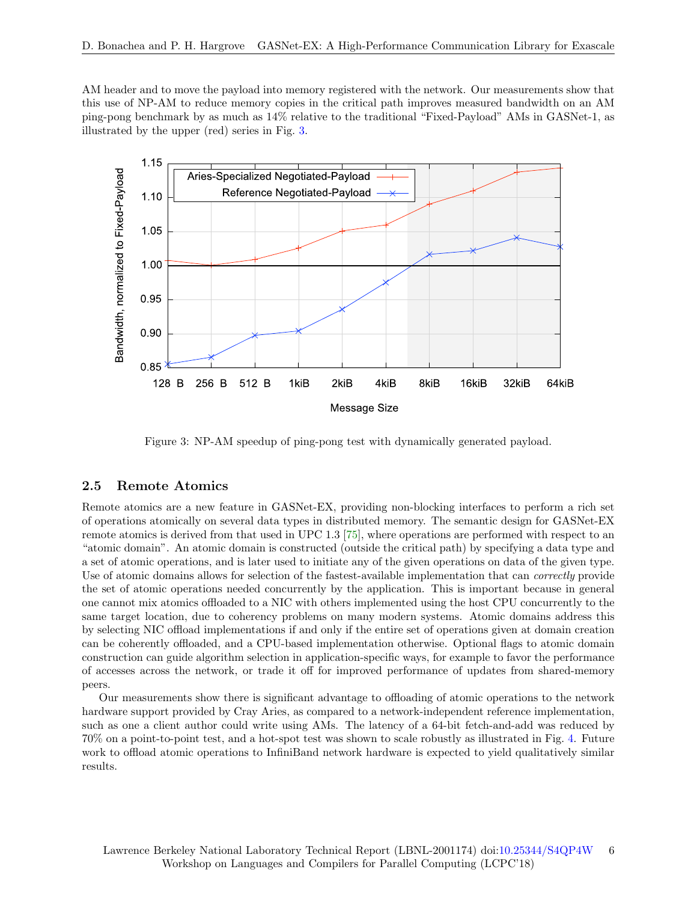AM header and to move the payload into memory registered with the network. Our measurements show that this use of NP-AM to reduce memory copies in the critical path improves measured bandwidth on an AM ping-pong benchmark by as much as 14% relative to the traditional "Fixed-Payload" AMs in GASNet-1, as illustrated by the upper (red) series in Fig. [3.](#page-5-0)



<span id="page-5-0"></span>Figure 3: NP-AM speedup of ping-pong test with dynamically generated payload.

#### <span id="page-5-1"></span>2.5 Remote Atomics

Remote atomics are a new feature in GASNet-EX, providing non-blocking interfaces to perform a rich set of operations atomically on several data types in distributed memory. The semantic design for GASNet-EX remote atomics is derived from that used in UPC 1.3 [\[75\]](#page-15-0), where operations are performed with respect to an "atomic domain". An atomic domain is constructed (outside the critical path) by specifying a data type and a set of atomic operations, and is later used to initiate any of the given operations on data of the given type. Use of atomic domains allows for selection of the fastest-available implementation that can *correctly* provide the set of atomic operations needed concurrently by the application. This is important because in general one cannot mix atomics offloaded to a NIC with others implemented using the host CPU concurrently to the same target location, due to coherency problems on many modern systems. Atomic domains address this by selecting NIC offload implementations if and only if the entire set of operations given at domain creation can be coherently offloaded, and a CPU-based implementation otherwise. Optional flags to atomic domain construction can guide algorithm selection in application-specific ways, for example to favor the performance of accesses across the network, or trade it off for improved performance of updates from shared-memory peers.

Our measurements show there is significant advantage to offloading of atomic operations to the network hardware support provided by Cray Aries, as compared to a network-independent reference implementation, such as one a client author could write using AMs. The latency of a 64-bit fetch-and-add was reduced by 70% on a point-to-point test, and a hot-spot test was shown to scale robustly as illustrated in Fig. [4.](#page-6-0) Future work to offload atomic operations to InfiniBand network hardware is expected to yield qualitatively similar results.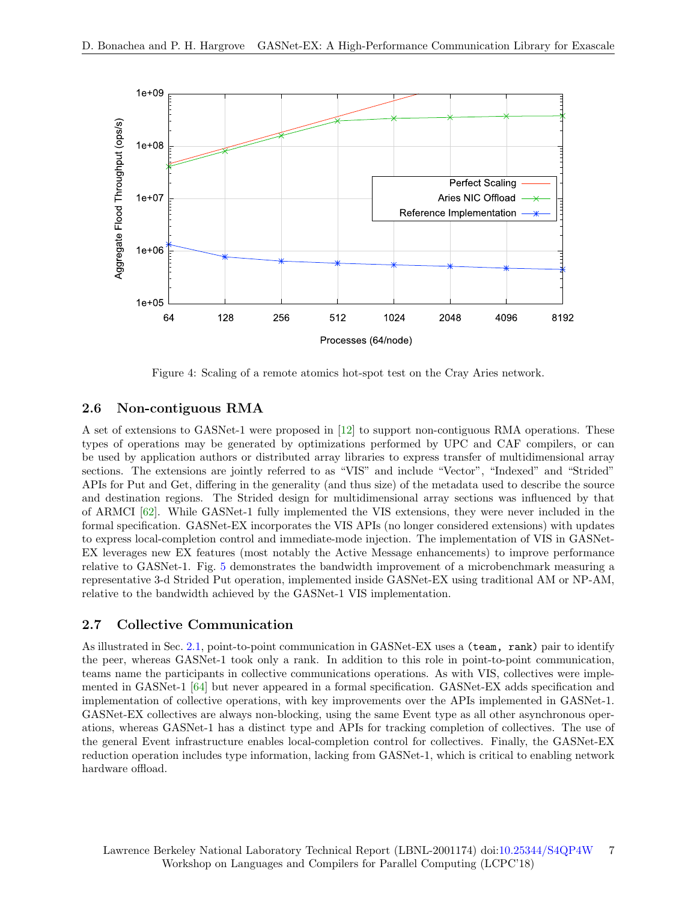

<span id="page-6-0"></span>Figure 4: Scaling of a remote atomics hot-spot test on the Cray Aries network.

#### 2.6 Non-contiguous RMA

A set of extensions to GASNet-1 were proposed in [\[12\]](#page-12-17) to support non-contiguous RMA operations. These types of operations may be generated by optimizations performed by UPC and CAF compilers, or can be used by application authors or distributed array libraries to express transfer of multidimensional array sections. The extensions are jointly referred to as "VIS" and include "Vector", "Indexed" and "Strided" APIs for Put and Get, differing in the generality (and thus size) of the metadata used to describe the source and destination regions. The Strided design for multidimensional array sections was influenced by that of ARMCI [\[62\]](#page-14-15). While GASNet-1 fully implemented the VIS extensions, they were never included in the formal specification. GASNet-EX incorporates the VIS APIs (no longer considered extensions) with updates to express local-completion control and immediate-mode injection. The implementation of VIS in GASNet-EX leverages new EX features (most notably the Active Message enhancements) to improve performance relative to GASNet-1. Fig. [5](#page-7-0) demonstrates the bandwidth improvement of a microbenchmark measuring a representative 3-d Strided Put operation, implemented inside GASNet-EX using traditional AM or NP-AM, relative to the bandwidth achieved by the GASNet-1 VIS implementation.

#### <span id="page-6-1"></span>2.7 Collective Communication

As illustrated in Sec. [2.1,](#page-2-1) point-to-point communication in GASNet-EX uses a (team, rank) pair to identify the peer, whereas GASNet-1 took only a rank. In addition to this role in point-to-point communication, teams name the participants in collective communications operations. As with VIS, collectives were implemented in GASNet-1 [\[64\]](#page-14-16) but never appeared in a formal specification. GASNet-EX adds specification and implementation of collective operations, with key improvements over the APIs implemented in GASNet-1. GASNet-EX collectives are always non-blocking, using the same Event type as all other asynchronous operations, whereas GASNet-1 has a distinct type and APIs for tracking completion of collectives. The use of the general Event infrastructure enables local-completion control for collectives. Finally, the GASNet-EX reduction operation includes type information, lacking from GASNet-1, which is critical to enabling network hardware offload.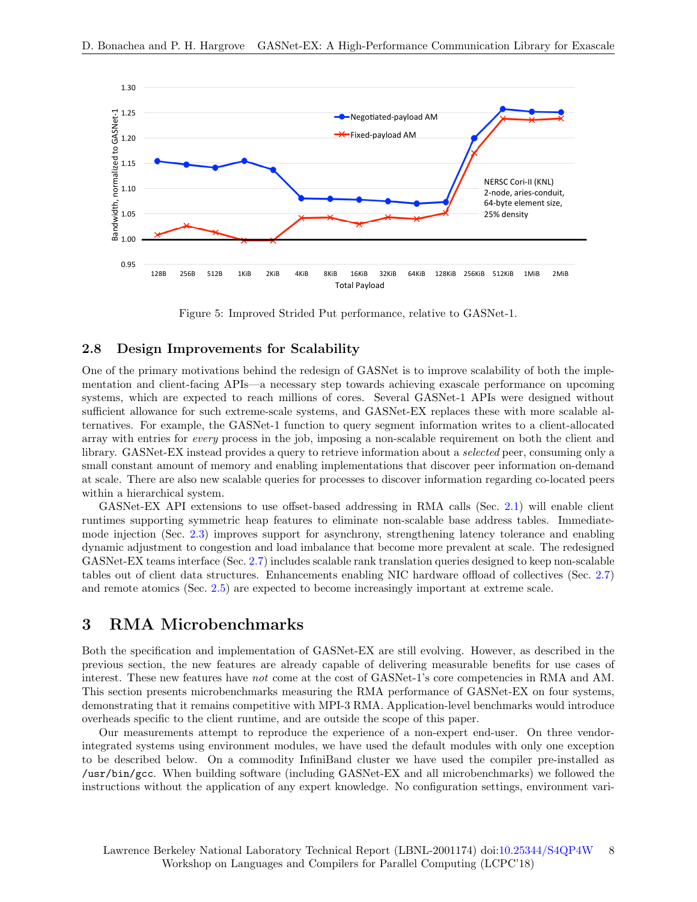

<span id="page-7-0"></span>Figure 5: Improved Strided Put performance, relative to GASNet-1.

#### 2.8 Design Improvements for Scalability

One of the primary motivations behind the redesign of GASNet is to improve scalability of both the implementation and client-facing APIs—a necessary step towards achieving exascale performance on upcoming systems, which are expected to reach millions of cores. Several GASNet-1 APIs were designed without sufficient allowance for such extreme-scale systems, and GASNet-EX replaces these with more scalable alternatives. For example, the GASNet-1 function to query segment information writes to a client-allocated array with entries for every process in the job, imposing a non-scalable requirement on both the client and library. GASNet-EX instead provides a query to retrieve information about a selected peer, consuming only a small constant amount of memory and enabling implementations that discover peer information on-demand at scale. There are also new scalable queries for processes to discover information regarding co-located peers within a hierarchical system.

GASNet-EX API extensions to use offset-based addressing in RMA calls (Sec. [2.1\)](#page-2-1) will enable client runtimes supporting symmetric heap features to eliminate non-scalable base address tables. Immediatemode injection (Sec. [2.3\)](#page-3-1) improves support for asynchrony, strengthening latency tolerance and enabling dynamic adjustment to congestion and load imbalance that become more prevalent at scale. The redesigned GASNet-EX teams interface (Sec. [2.7\)](#page-6-1) includes scalable rank translation queries designed to keep non-scalable tables out of client data structures. Enhancements enabling NIC hardware offload of collectives (Sec. [2.7\)](#page-6-1) and remote atomics (Sec. [2.5\)](#page-5-1) are expected to become increasingly important at extreme scale.

### <span id="page-7-1"></span>3 RMA Microbenchmarks

Both the specification and implementation of GASNet-EX are still evolving. However, as described in the previous section, the new features are already capable of delivering measurable benefits for use cases of interest. These new features have not come at the cost of GASNet-1's core competencies in RMA and AM. This section presents microbenchmarks measuring the RMA performance of GASNet-EX on four systems, demonstrating that it remains competitive with MPI-3 RMA. Application-level benchmarks would introduce overheads specific to the client runtime, and are outside the scope of this paper.

Our measurements attempt to reproduce the experience of a non-expert end-user. On three vendorintegrated systems using environment modules, we have used the default modules with only one exception to be described below. On a commodity InfiniBand cluster we have used the compiler pre-installed as /usr/bin/gcc. When building software (including GASNet-EX and all microbenchmarks) we followed the instructions without the application of any expert knowledge. No configuration settings, environment vari-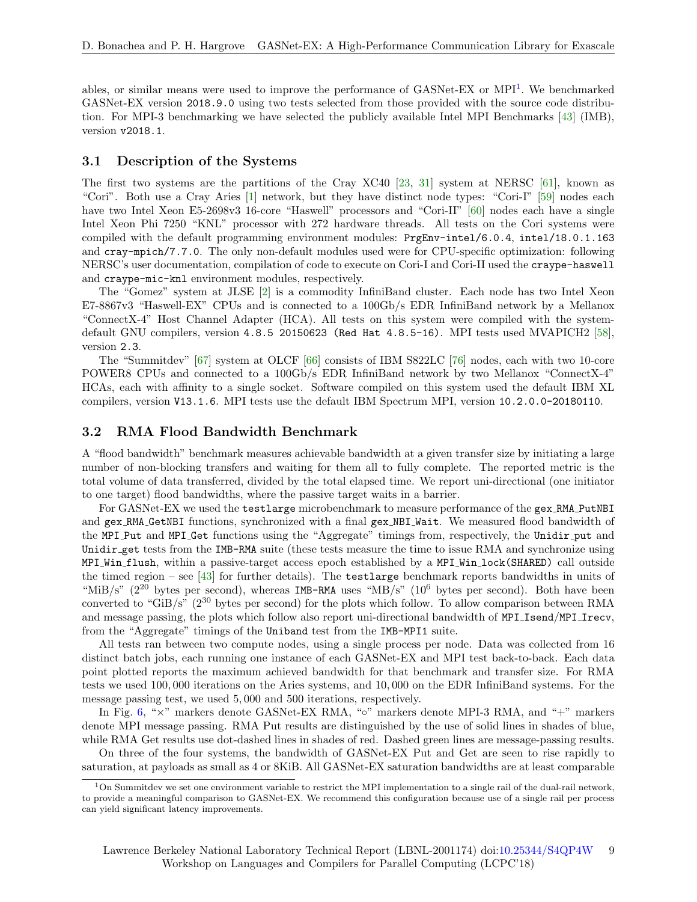ables, or similar means were used to improve the performance of GASNet-EX or MPI<sup>[1](#page-8-0)</sup>. We benchmarked GASNet-EX version 2018.9.0 using two tests selected from those provided with the source code distribution. For MPI-3 benchmarking we have selected the publicly available Intel MPI Benchmarks [\[43\]](#page-13-17) (IMB), version v2018.1.

#### 3.1 Description of the Systems

The first two systems are the partitions of the Cray XC40  $[23, 31]$  $[23, 31]$  $[23, 31]$  system at NERSC  $[61]$ , known as "Cori". Both use a Cray Aries [\[1\]](#page-12-9) network, but they have distinct node types: "Cori-I" [\[59\]](#page-14-18) nodes each have two Intel Xeon E5-2698v3 16-core "Haswell" processors and "Cori-II" [\[60\]](#page-14-19) nodes each have a single Intel Xeon Phi 7250 "KNL" processor with 272 hardware threads. All tests on the Cori systems were compiled with the default programming environment modules: PrgEnv-intel/6.0.4, intel/18.0.1.163 and cray-mpich/7.7.0. The only non-default modules used were for CPU-specific optimization: following NERSC's user documentation, compilation of code to execute on Cori-I and Cori-II used the craype-haswell and craype-mic-knl environment modules, respectively.

The "Gomez" system at JLSE [\[2\]](#page-12-18) is a commodity InfiniBand cluster. Each node has two Intel Xeon E7-8867v3 "Haswell-EX" CPUs and is connected to a 100Gb/s EDR InfiniBand network by a Mellanox "ConnectX-4" Host Channel Adapter (HCA). All tests on this system were compiled with the systemdefault GNU compilers, version 4.8.5 20150623 (Red Hat 4.8.5-16). MPI tests used MVAPICH2 [\[58\]](#page-14-20), version 2.3.

The "Summitdev" [\[67\]](#page-14-21) system at OLCF [\[66\]](#page-14-22) consists of IBM S822LC [\[76\]](#page-15-5) nodes, each with two 10-core POWER8 CPUs and connected to a 100Gb/s EDR InfiniBand network by two Mellanox "ConnectX-4" HCAs, each with affinity to a single socket. Software compiled on this system used the default IBM XL compilers, version V13.1.6. MPI tests use the default IBM Spectrum MPI, version 10.2.0.0-20180110.

#### 3.2 RMA Flood Bandwidth Benchmark

A "flood bandwidth" benchmark measures achievable bandwidth at a given transfer size by initiating a large number of non-blocking transfers and waiting for them all to fully complete. The reported metric is the total volume of data transferred, divided by the total elapsed time. We report uni-directional (one initiator to one target) flood bandwidths, where the passive target waits in a barrier.

For GASNet-EX we used the testlarge microbenchmark to measure performance of the gex RMA PutNBI and gex RMA GetNBI functions, synchronized with a final gex NBI Wait. We measured flood bandwidth of the MPI Put and MPI Get functions using the "Aggregate" timings from, respectively, the Unidir put and Unidir get tests from the IMB-RMA suite (these tests measure the time to issue RMA and synchronize using MPI Win flush, within a passive-target access epoch established by a MPI Win lock(SHARED) call outside the timed region – see [\[43\]](#page-13-17) for further details). The testlarge benchmark reports bandwidths in units of "MiB/s" ( $2^{20}$  bytes per second), whereas IMB-RMA uses "MB/s" ( $10^6$  bytes per second). Both have been converted to "GiB/s" ( $2^{30}$  bytes per second) for the plots which follow. To allow comparison between RMA and message passing, the plots which follow also report uni-directional bandwidth of MPI Isend/MPI Irecv, from the "Aggregate" timings of the Uniband test from the IMB-MPI1 suite.

All tests ran between two compute nodes, using a single process per node. Data was collected from 16 distinct batch jobs, each running one instance of each GASNet-EX and MPI test back-to-back. Each data point plotted reports the maximum achieved bandwidth for that benchmark and transfer size. For RMA tests we used 100, 000 iterations on the Aries systems, and 10, 000 on the EDR InfiniBand systems. For the message passing test, we used 5, 000 and 500 iterations, respectively.

In Fig. [6,](#page-9-0) "×" markers denote GASNet-EX RMA, "◦" markers denote MPI-3 RMA, and "+" markers denote MPI message passing. RMA Put results are distinguished by the use of solid lines in shades of blue, while RMA Get results use dot-dashed lines in shades of red. Dashed green lines are message-passing results.

On three of the four systems, the bandwidth of GASNet-EX Put and Get are seen to rise rapidly to saturation, at payloads as small as 4 or 8KiB. All GASNet-EX saturation bandwidths are at least comparable

<span id="page-8-0"></span> $1$ On Summitdev we set one environment variable to restrict the MPI implementation to a single rail of the dual-rail network, to provide a meaningful comparison to GASNet-EX. We recommend this configuration because use of a single rail per process can yield significant latency improvements.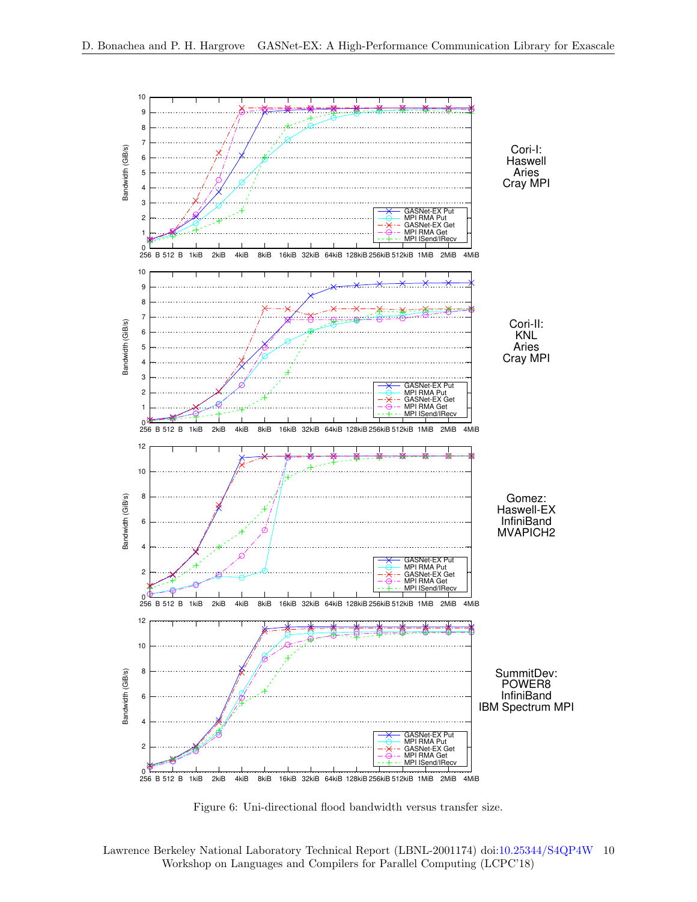

<span id="page-9-0"></span>Figure 6: Uni-directional flood bandwidth versus transfer size.

Lawrence Berkeley National Laboratory Technical Report (LBNL-2001174) doi[:10.25344/S4QP4W](https://doi.org/10.25344/S4QP4W) 10Workshop on Languages and Compilers for Parallel Computing (LCPC'18)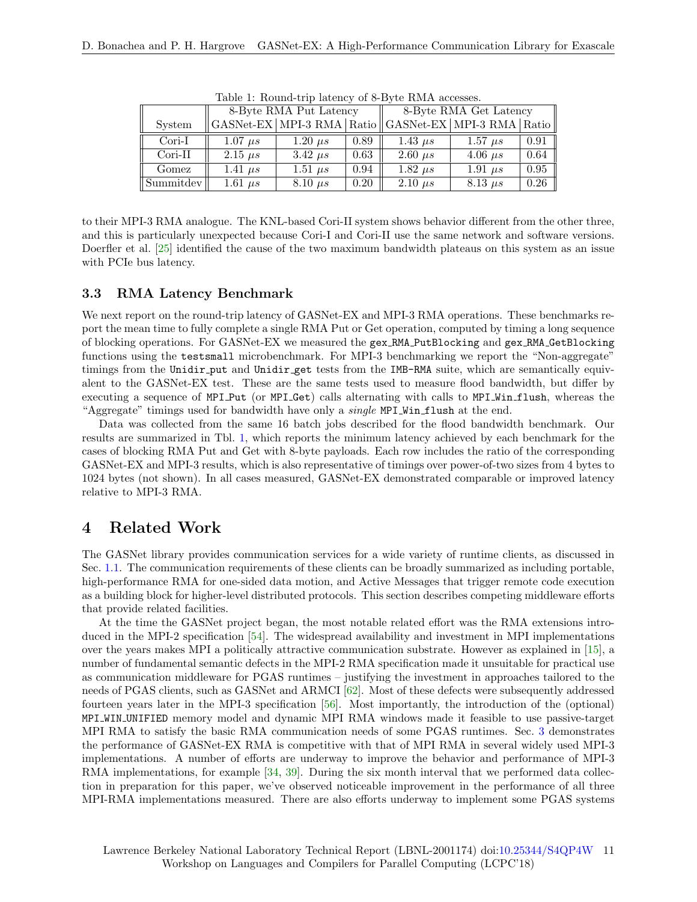| $\frac{1}{2}$ |                        |                |      |                        |                                                                |      |
|---------------|------------------------|----------------|------|------------------------|----------------------------------------------------------------|------|
|               | 8-Byte RMA Put Latency |                |      | 8-Byte RMA Get Latency |                                                                |      |
| System        |                        |                |      |                        | GASNet-EX   MPI-3 RMA   Ratio    GASNet-EX   MPI-3 RMA   Ratio |      |
| $Cori-I$      | $1.07 \; \mu s$        | $1.20 \ \mu s$ | 0.89 | $1.43 \; \mu s$        | $1.57 \; \mu s$                                                | 0.91 |
| $Cori-II$     | $2.15 \ \mu s$         | $3.42 \ \mu s$ | 0.63 | $2.60 \ \mu s$         | $4.06 \ \mu s$                                                 | 0.64 |
| Gomez         | 1.41 $\mu s$           | $1.51 \ \mu s$ | 0.94 | $1.82 \ \mu s$         | $1.91 \ \mu s$                                                 | 0.95 |
| Summitdev     | 1.61 $\mu s$           | $8.10 \ \mu s$ | 0.20 | $2.10 \ \mu s$         | $8.13 \ \mu s$                                                 | 0.26 |

<span id="page-10-0"></span>Table 1: Round-trip latency of 8-Byte RMA accesses.

to their MPI-3 RMA analogue. The KNL-based Cori-II system shows behavior different from the other three, and this is particularly unexpected because Cori-I and Cori-II use the same network and software versions. Doerfler et al. [\[25\]](#page-13-20) identified the cause of the two maximum bandwidth plateaus on this system as an issue with PCIe bus latency.

#### 3.3 RMA Latency Benchmark

We next report on the round-trip latency of GASNet-EX and MPI-3 RMA operations. These benchmarks report the mean time to fully complete a single RMA Put or Get operation, computed by timing a long sequence of blocking operations. For GASNet-EX we measured the gex RMA PutBlocking and gex RMA GetBlocking functions using the testsmall microbenchmark. For MPI-3 benchmarking we report the "Non-aggregate" timings from the Unidir put and Unidir get tests from the IMB-RMA suite, which are semantically equivalent to the GASNet-EX test. These are the same tests used to measure flood bandwidth, but differ by executing a sequence of MPI Put (or MPI Get) calls alternating with calls to MPI Win flush, whereas the "Aggregate" timings used for bandwidth have only a *single* MPI Win flush at the end.

Data was collected from the same 16 batch jobs described for the flood bandwidth benchmark. Our results are summarized in Tbl. [1,](#page-10-0) which reports the minimum latency achieved by each benchmark for the cases of blocking RMA Put and Get with 8-byte payloads. Each row includes the ratio of the corresponding GASNet-EX and MPI-3 results, which is also representative of timings over power-of-two sizes from 4 bytes to 1024 bytes (not shown). In all cases measured, GASNet-EX demonstrated comparable or improved latency relative to MPI-3 RMA.

### 4 Related Work

The GASNet library provides communication services for a wide variety of runtime clients, as discussed in Sec. [1.1.](#page-0-0) The communication requirements of these clients can be broadly summarized as including portable, high-performance RMA for one-sided data motion, and Active Messages that trigger remote code execution as a building block for higher-level distributed protocols. This section describes competing middleware efforts that provide related facilities.

At the time the GASNet project began, the most notable related effort was the RMA extensions introduced in the MPI-2 specification [\[54\]](#page-14-23). The widespread availability and investment in MPI implementations over the years makes MPI a politically attractive communication substrate. However as explained in [\[15\]](#page-12-19), a number of fundamental semantic defects in the MPI-2 RMA specification made it unsuitable for practical use as communication middleware for PGAS runtimes – justifying the investment in approaches tailored to the needs of PGAS clients, such as GASNet and ARMCI [\[62\]](#page-14-15). Most of these defects were subsequently addressed fourteen years later in the MPI-3 specification [\[56\]](#page-14-24). Most importantly, the introduction of the (optional) MPI WIN UNIFIED memory model and dynamic MPI RMA windows made it feasible to use passive-target MPI RMA to satisfy the basic RMA communication needs of some PGAS runtimes. Sec. [3](#page-7-1) demonstrates the performance of GASNet-EX RMA is competitive with that of MPI RMA in several widely used MPI-3 implementations. A number of efforts are underway to improve the behavior and performance of MPI-3 RMA implementations, for example [\[34,](#page-13-21) [39\]](#page-13-22). During the six month interval that we performed data collection in preparation for this paper, we've observed noticeable improvement in the performance of all three MPI-RMA implementations measured. There are also efforts underway to implement some PGAS systems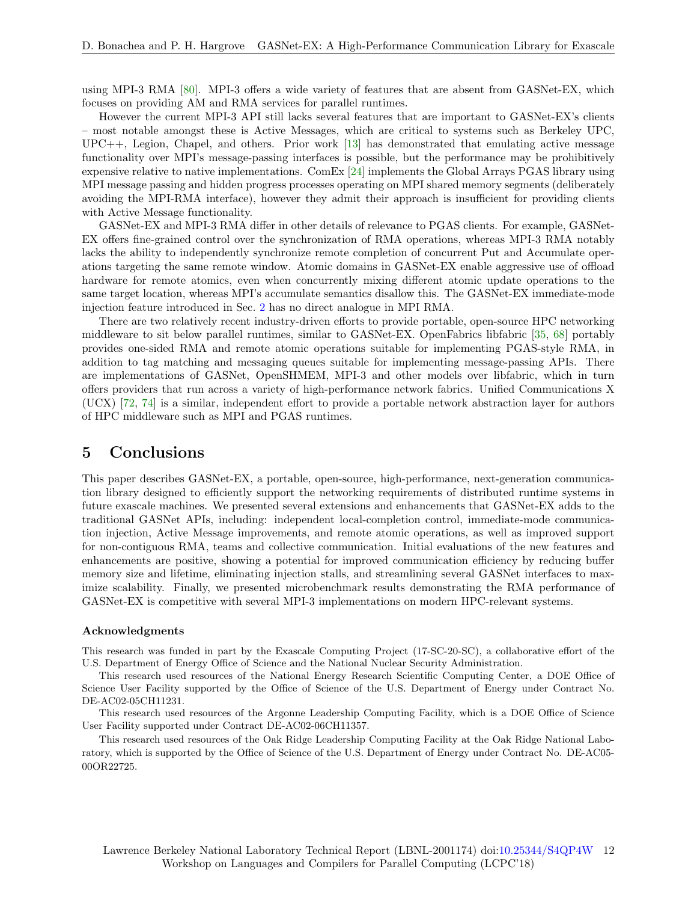using MPI-3 RMA [\[80\]](#page-15-6). MPI-3 offers a wide variety of features that are absent from GASNet-EX, which focuses on providing AM and RMA services for parallel runtimes.

However the current MPI-3 API still lacks several features that are important to GASNet-EX's clients – most notable amongst these is Active Messages, which are critical to systems such as Berkeley UPC, UPC++, Legion, Chapel, and others. Prior work [\[13\]](#page-12-20) has demonstrated that emulating active message functionality over MPI's message-passing interfaces is possible, but the performance may be prohibitively expensive relative to native implementations. ComEx [\[24\]](#page-13-23) implements the Global Arrays PGAS library using MPI message passing and hidden progress processes operating on MPI shared memory segments (deliberately avoiding the MPI-RMA interface), however they admit their approach is insufficient for providing clients with Active Message functionality.

GASNet-EX and MPI-3 RMA differ in other details of relevance to PGAS clients. For example, GASNet-EX offers fine-grained control over the synchronization of RMA operations, whereas MPI-3 RMA notably lacks the ability to independently synchronize remote completion of concurrent Put and Accumulate operations targeting the same remote window. Atomic domains in GASNet-EX enable aggressive use of offload hardware for remote atomics, even when concurrently mixing different atomic update operations to the same target location, whereas MPI's accumulate semantics disallow this. The GASNet-EX immediate-mode injection feature introduced in Sec. [2](#page-2-0) has no direct analogue in MPI RMA.

There are two relatively recent industry-driven efforts to provide portable, open-source HPC networking middleware to sit below parallel runtimes, similar to GASNet-EX. OpenFabrics libfabric [\[35,](#page-13-15) [68\]](#page-14-25) portably provides one-sided RMA and remote atomic operations suitable for implementing PGAS-style RMA, in addition to tag matching and messaging queues suitable for implementing message-passing APIs. There are implementations of GASNet, OpenSHMEM, MPI-3 and other models over libfabric, which in turn offers providers that run across a variety of high-performance network fabrics. Unified Communications X (UCX) [\[72,](#page-14-26) [74\]](#page-15-7) is a similar, independent effort to provide a portable network abstraction layer for authors of HPC middleware such as MPI and PGAS runtimes.

# 5 Conclusions

This paper describes GASNet-EX, a portable, open-source, high-performance, next-generation communication library designed to efficiently support the networking requirements of distributed runtime systems in future exascale machines. We presented several extensions and enhancements that GASNet-EX adds to the traditional GASNet APIs, including: independent local-completion control, immediate-mode communication injection, Active Message improvements, and remote atomic operations, as well as improved support for non-contiguous RMA, teams and collective communication. Initial evaluations of the new features and enhancements are positive, showing a potential for improved communication efficiency by reducing buffer memory size and lifetime, eliminating injection stalls, and streamlining several GASNet interfaces to maximize scalability. Finally, we presented microbenchmark results demonstrating the RMA performance of GASNet-EX is competitive with several MPI-3 implementations on modern HPC-relevant systems.

#### Acknowledgments

This research was funded in part by the Exascale Computing Project (17-SC-20-SC), a collaborative effort of the U.S. Department of Energy Office of Science and the National Nuclear Security Administration.

This research used resources of the National Energy Research Scientific Computing Center, a DOE Office of Science User Facility supported by the Office of Science of the U.S. Department of Energy under Contract No. DE-AC02-05CH11231.

This research used resources of the Argonne Leadership Computing Facility, which is a DOE Office of Science User Facility supported under Contract DE-AC02-06CH11357.

This research used resources of the Oak Ridge Leadership Computing Facility at the Oak Ridge National Laboratory, which is supported by the Office of Science of the U.S. Department of Energy under Contract No. DE-AC05- 00OR22725.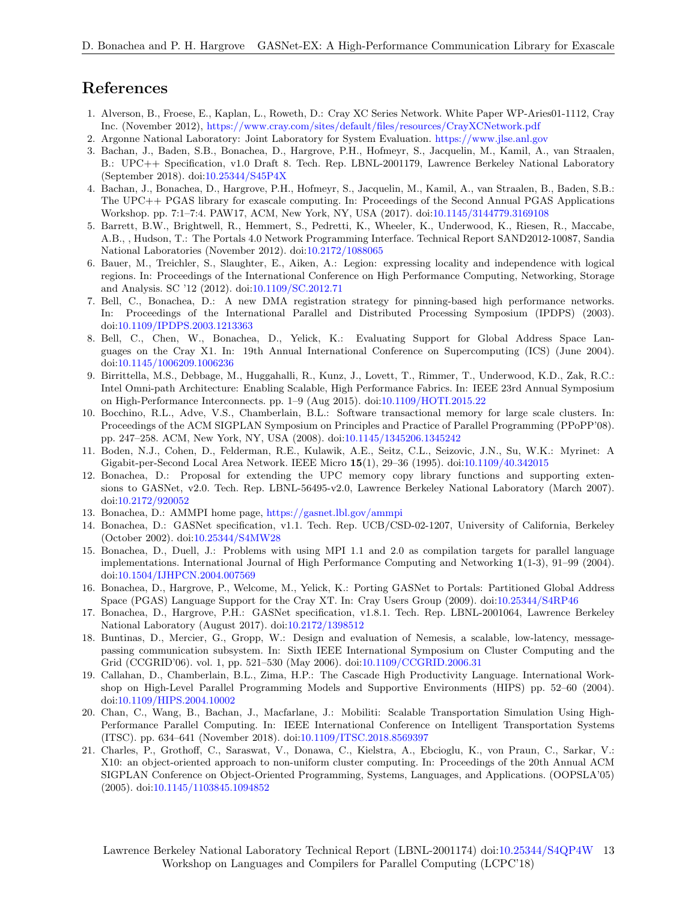# References

- <span id="page-12-9"></span>1. Alverson, B., Froese, E., Kaplan, L., Roweth, D.: Cray XC Series Network. White Paper WP-Aries01-1112, Cray Inc. (November 2012), <https://www.cray.com/sites/default/files/resources/CrayXCNetwork.pdf>
- <span id="page-12-18"></span>2. Argonne National Laboratory: Joint Laboratory for System Evaluation. <https://www.jlse.anl.gov>
- <span id="page-12-2"></span>3. Bachan, J., Baden, S.B., Bonachea, D., Hargrove, P.H., Hofmeyr, S., Jacquelin, M., Kamil, A., van Straalen, B.: UPC++ Specification, v1.0 Draft 8. Tech. Rep. LBNL-2001179, Lawrence Berkeley National Laboratory (September 2018). doi[:10.25344/S45P4X](https://doi.org/10.25344/S45P4X)
- <span id="page-12-3"></span>4. Bachan, J., Bonachea, D., Hargrove, P.H., Hofmeyr, S., Jacquelin, M., Kamil, A., van Straalen, B., Baden, S.B.: The UPC++ PGAS library for exascale computing. In: Proceedings of the Second Annual PGAS Applications Workshop. pp. 7:1–7:4. PAW17, ACM, New York, NY, USA (2017). doi[:10.1145/3144779.3169108](https://doi.org/10.1145/3144779.3169108)
- <span id="page-12-15"></span>5. Barrett, B.W., Brightwell, R., Hemmert, S., Pedretti, K., Wheeler, K., Underwood, K., Riesen, R., Maccabe, A.B., , Hudson, T.: The Portals 4.0 Network Programming Interface. Technical Report SAND2012-10087, Sandia National Laboratories (November 2012). doi[:10.2172/1088065](https://doi.org/10.2172/1088065)
- <span id="page-12-5"></span>6. Bauer, M., Treichler, S., Slaughter, E., Aiken, A.: Legion: expressing locality and independence with logical regions. In: Proceedings of the International Conference on High Performance Computing, Networking, Storage and Analysis. SC '12 (2012). doi[:10.1109/SC.2012.71](https://doi.org/10.1109/SC.2012.71)
- <span id="page-12-13"></span>7. Bell, C., Bonachea, D.: A new DMA registration strategy for pinning-based high performance networks. In: Proceedings of the International Parallel and Distributed Processing Symposium (IPDPS) (2003). doi[:10.1109/IPDPS.2003.1213363](https://doi.org/10.1109/IPDPS.2003.1213363)
- <span id="page-12-12"></span>8. Bell, C., Chen, W., Bonachea, D., Yelick, K.: Evaluating Support for Global Address Space Languages on the Cray X1. In: 19th Annual International Conference on Supercomputing (ICS) (June 2004). doi[:10.1145/1006209.1006236](https://doi.org/10.1145/1006209.1006236)
- <span id="page-12-10"></span>9. Birrittella, M.S., Debbage, M., Huggahalli, R., Kunz, J., Lovett, T., Rimmer, T., Underwood, K.D., Zak, R.C.: Intel Omni-path Architecture: Enabling Scalable, High Performance Fabrics. In: IEEE 23rd Annual Symposium on High-Performance Interconnects. pp. 1–9 (Aug 2015). doi[:10.1109/HOTI.2015.22](https://doi.org/10.1109/HOTI.2015.22)
- <span id="page-12-6"></span>10. Bocchino, R.L., Adve, V.S., Chamberlain, B.L.: Software transactional memory for large scale clusters. In: Proceedings of the ACM SIGPLAN Symposium on Principles and Practice of Parallel Programming (PPoPP'08). pp. 247–258. ACM, New York, NY, USA (2008). doi[:10.1145/1345206.1345242](https://doi.org/10.1145/1345206.1345242)
- <span id="page-12-14"></span>11. Boden, N.J., Cohen, D., Felderman, R.E., Kulawik, A.E., Seitz, C.L., Seizovic, J.N., Su, W.K.: Myrinet: A Gigabit-per-Second Local Area Network. IEEE Micro 15(1), 29–36 (1995). doi[:10.1109/40.342015](https://doi.org/10.1109/40.342015)
- <span id="page-12-17"></span>12. Bonachea, D.: Proposal for extending the UPC memory copy library functions and supporting extensions to GASNet, v2.0. Tech. Rep. LBNL-56495-v2.0, Lawrence Berkeley National Laboratory (March 2007). doi[:10.2172/920052](https://doi.org/10.2172/920052)
- <span id="page-12-20"></span>13. Bonachea, D.: AMMPI home page, <https://gasnet.lbl.gov/ammpi>
- <span id="page-12-0"></span>14. Bonachea, D.: GASNet specification, v1.1. Tech. Rep. UCB/CSD-02-1207, University of California, Berkeley (October 2002). doi[:10.25344/S4MW28](https://doi.org/10.25344/S4MW28)
- <span id="page-12-19"></span>15. Bonachea, D., Duell, J.: Problems with using MPI 1.1 and 2.0 as compilation targets for parallel language implementations. International Journal of High Performance Computing and Networking 1(1-3), 91–99 (2004). doi[:10.1504/IJHPCN.2004.007569](https://doi.org/10.1504/IJHPCN.2004.007569)
- <span id="page-12-11"></span>16. Bonachea, D., Hargrove, P., Welcome, M., Yelick, K.: Porting GASNet to Portals: Partitioned Global Address Space (PGAS) Language Support for the Cray XT. In: Cray Users Group (2009). doi[:10.25344/S4RP46](https://doi.org/10.25344/S4RP46)
- <span id="page-12-1"></span>17. Bonachea, D., Hargrove, P.H.: GASNet specification, v1.8.1. Tech. Rep. LBNL-2001064, Lawrence Berkeley National Laboratory (August 2017). doi[:10.2172/1398512](https://doi.org/10.2172/1398512)
- <span id="page-12-7"></span>18. Buntinas, D., Mercier, G., Gropp, W.: Design and evaluation of Nemesis, a scalable, low-latency, messagepassing communication subsystem. In: Sixth IEEE International Symposium on Cluster Computing and the Grid (CCGRID'06). vol. 1, pp. 521–530 (May 2006). doi[:10.1109/CCGRID.2006.31](https://doi.org/10.1109/CCGRID.2006.31)
- <span id="page-12-4"></span>19. Callahan, D., Chamberlain, B.L., Zima, H.P.: The Cascade High Productivity Language. International Workshop on High-Level Parallel Programming Models and Supportive Environments (HIPS) pp. 52–60 (2004). doi[:10.1109/HIPS.2004.10002](https://doi.org/10.1109/HIPS.2004.10002)
- <span id="page-12-8"></span>20. Chan, C., Wang, B., Bachan, J., Macfarlane, J.: Mobiliti: Scalable Transportation Simulation Using High-Performance Parallel Computing. In: IEEE International Conference on Intelligent Transportation Systems (ITSC). pp. 634–641 (November 2018). doi[:10.1109/ITSC.2018.8569397](https://doi.org/10.1109/ITSC.2018.8569397)
- <span id="page-12-16"></span>21. Charles, P., Grothoff, C., Saraswat, V., Donawa, C., Kielstra, A., Ebcioglu, K., von Praun, C., Sarkar, V.: X10: an object-oriented approach to non-uniform cluster computing. In: Proceedings of the 20th Annual ACM SIGPLAN Conference on Object-Oriented Programming, Systems, Languages, and Applications. (OOPSLA'05) (2005). doi[:10.1145/1103845.1094852](https://doi.org/10.1145/1103845.1094852)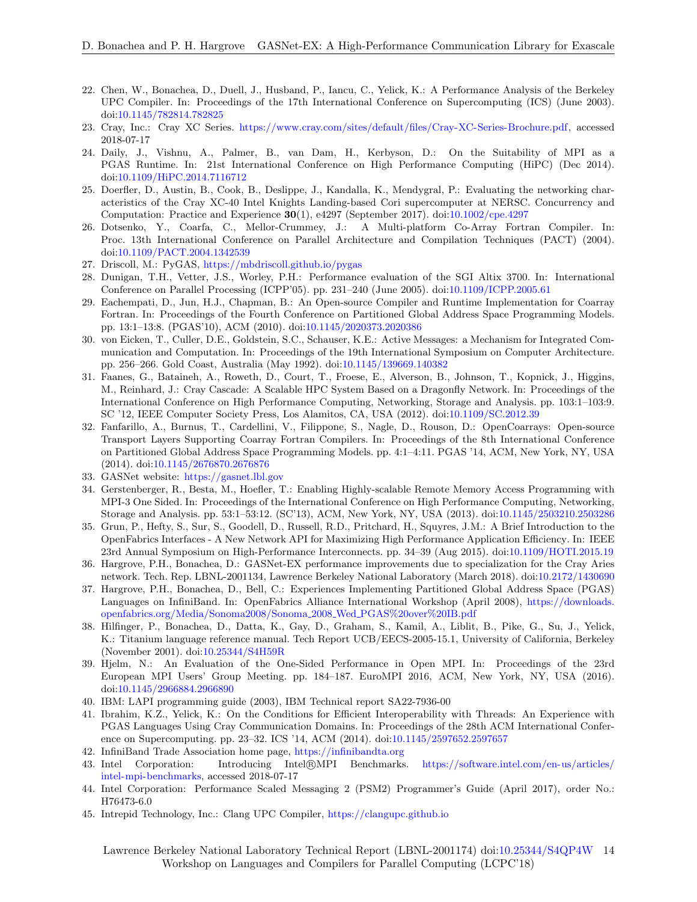- <span id="page-13-2"></span>22. Chen, W., Bonachea, D., Duell, J., Husband, P., Iancu, C., Yelick, K.: A Performance Analysis of the Berkeley UPC Compiler. In: Proceedings of the 17th International Conference on Supercomputing (ICS) (June 2003). doi[:10.1145/782814.782825](https://doi.org/10.1145/782814.782825)
- <span id="page-13-18"></span>23. Cray, Inc.: Cray XC Series. [https://www.cray.com/sites/default/files/Cray-XC-Series-Brochure.pdf,](https://www.cray.com/sites/default/files/Cray-XC-Series-Brochure.pdf) accessed 2018-07-17
- <span id="page-13-23"></span>24. Daily, J., Vishnu, A., Palmer, B., van Dam, H., Kerbyson, D.: On the Suitability of MPI as a PGAS Runtime. In: 21st International Conference on High Performance Computing (HiPC) (Dec 2014). doi[:10.1109/HiPC.2014.7116712](https://doi.org/10.1109/HiPC.2014.7116712)
- <span id="page-13-20"></span>25. Doerfler, D., Austin, B., Cook, B., Deslippe, J., Kandalla, K., Mendygral, P.: Evaluating the networking characteristics of the Cray XC-40 Intel Knights Landing-based Cori supercomputer at NERSC. Concurrency and Computation: Practice and Experience  $30(1)$ , e4297 (September 2017). doi[:10.1002/cpe.4297](https://doi.org/10.1002/cpe.4297)
- <span id="page-13-4"></span>26. Dotsenko, Y., Coarfa, C., Mellor-Crummey, J.: A Multi-platform Co-Array Fortran Compiler. In: Proc. 13th International Conference on Parallel Architecture and Compilation Techniques (PACT) (2004). doi[:10.1109/PACT.2004.1342539](https://doi.org/10.1109/PACT.2004.1342539)
- <span id="page-13-7"></span>27. Driscoll, M.: PyGAS, <https://mbdriscoll.github.io/pygas>
- <span id="page-13-14"></span>28. Dunigan, T.H., Vetter, J.S., Worley, P.H.: Performance evaluation of the SGI Altix 3700. In: International Conference on Parallel Processing (ICPP'05). pp. 231–240 (June 2005). doi[:10.1109/ICPP.2005.61](https://doi.org/10.1109/ICPP.2005.61)
- <span id="page-13-5"></span>29. Eachempati, D., Jun, H.J., Chapman, B.: An Open-source Compiler and Runtime Implementation for Coarray Fortran. In: Proceedings of the Fourth Conference on Partitioned Global Address Space Programming Models. pp. 13:1–13:8. (PGAS'10), ACM (2010). doi[:10.1145/2020373.2020386](https://doi.org/10.1145/2020373.2020386)
- <span id="page-13-1"></span>30. von Eicken, T., Culler, D.E., Goldstein, S.C., Schauser, K.E.: Active Messages: a Mechanism for Integrated Communication and Computation. In: Proceedings of the 19th International Symposium on Computer Architecture. pp. 256–266. Gold Coast, Australia (May 1992). doi[:10.1145/139669.140382](https://doi.org/10.1145/139669.140382)
- <span id="page-13-19"></span>31. Faanes, G., Bataineh, A., Roweth, D., Court, T., Froese, E., Alverson, B., Johnson, T., Kopnick, J., Higgins, M., Reinhard, J.: Cray Cascade: A Scalable HPC System Based on a Dragonfly Network. In: Proceedings of the International Conference on High Performance Computing, Networking, Storage and Analysis. pp. 103:1–103:9. SC '12, IEEE Computer Society Press, Los Alamitos, CA, USA (2012). doi[:10.1109/SC.2012.39](https://doi.org/10.1109/SC.2012.39)
- <span id="page-13-6"></span>32. Fanfarillo, A., Burnus, T., Cardellini, V., Filippone, S., Nagle, D., Rouson, D.: OpenCoarrays: Open-source Transport Layers Supporting Coarray Fortran Compilers. In: Proceedings of the 8th International Conference on Partitioned Global Address Space Programming Models. pp. 4:1–4:11. PGAS '14, ACM, New York, NY, USA (2014). doi[:10.1145/2676870.2676876](https://doi.org/10.1145/2676870.2676876)
- <span id="page-13-16"></span>33. GASNet website: <https://gasnet.lbl.gov>
- <span id="page-13-21"></span>34. Gerstenberger, R., Besta, M., Hoefler, T.: Enabling Highly-scalable Remote Memory Access Programming with MPI-3 One Sided. In: Proceedings of the International Conference on High Performance Computing, Networking, Storage and Analysis. pp. 53:1–53:12. (SC'13), ACM, New York, NY, USA (2013). doi[:10.1145/2503210.2503286](https://doi.org/10.1145/2503210.2503286)
- <span id="page-13-15"></span>35. Grun, P., Hefty, S., Sur, S., Goodell, D., Russell, R.D., Pritchard, H., Squyres, J.M.: A Brief Introduction to the OpenFabrics Interfaces - A New Network API for Maximizing High Performance Application Efficiency. In: IEEE 23rd Annual Symposium on High-Performance Interconnects. pp. 34–39 (Aug 2015). doi[:10.1109/HOTI.2015.19](https://doi.org/10.1109/HOTI.2015.19)
- <span id="page-13-10"></span>36. Hargrove, P.H., Bonachea, D.: GASNet-EX performance improvements due to specialization for the Cray Aries network. Tech. Rep. LBNL-2001134, Lawrence Berkeley National Laboratory (March 2018). doi[:10.2172/1430690](https://doi.org/10.2172/1430690)
- <span id="page-13-8"></span>37. Hargrove, P.H., Bonachea, D., Bell, C.: Experiences Implementing Partitioned Global Address Space (PGAS) Languages on InfiniBand. In: OpenFabrics Alliance International Workshop (April 2008), [https://downloads.](https://downloads.openfabrics.org/Media/Sonoma2008/Sonoma_2008_Wed_PGAS%20over%20IB.pdf) [openfabrics.org/Media/Sonoma2008/Sonoma](https://downloads.openfabrics.org/Media/Sonoma2008/Sonoma_2008_Wed_PGAS%20over%20IB.pdf) 2008 Wed PGAS%20over%20IB.pdf
- <span id="page-13-0"></span>38. Hilfinger, P., Bonachea, D., Datta, K., Gay, D., Graham, S., Kamil, A., Liblit, B., Pike, G., Su, J., Yelick, K.: Titanium language reference manual. Tech Report UCB/EECS-2005-15.1, University of California, Berkeley (November 2001). doi[:10.25344/S4H59R](https://doi.org/10.25344/S4H59R)
- <span id="page-13-22"></span>39. Hjelm, N.: An Evaluation of the One-Sided Performance in Open MPI. In: Proceedings of the 23rd European MPI Users' Group Meeting. pp. 184–187. EuroMPI 2016, ACM, New York, NY, USA (2016). doi[:10.1145/2966884.2966890](https://doi.org/10.1145/2966884.2966890)
- <span id="page-13-13"></span>40. IBM: LAPI programming guide (2003), IBM Technical report SA22-7936-00
- <span id="page-13-11"></span>41. Ibrahim, K.Z., Yelick, K.: On the Conditions for Efficient Interoperability with Threads: An Experience with PGAS Languages Using Cray Communication Domains. In: Proceedings of the 28th ACM International Conference on Supercomputing. pp. 23–32. ICS '14, ACM (2014). doi[:10.1145/2597652.2597657](https://doi.org/10.1145/2597652.2597657)
- <span id="page-13-9"></span>42. InfiniBand Trade Association home page, <https://infinibandta.org>
- <span id="page-13-17"></span>43. Intel Corporation: Introducing Intel®MPI Benchmarks. [https://software.intel.com/en-us/articles/](https://software.intel.com/en-us/articles/intel-mpi-benchmarks) [intel-mpi-benchmarks,](https://software.intel.com/en-us/articles/intel-mpi-benchmarks) accessed 2018-07-17
- <span id="page-13-12"></span>44. Intel Corporation: Performance Scaled Messaging 2 (PSM2) Programmer's Guide (April 2017), order No.: H76473-6.0
- <span id="page-13-3"></span>45. Intrepid Technology, Inc.: Clang UPC Compiler, <https://clangupc.github.io>

Lawrence Berkeley National Laboratory Technical Report (LBNL-2001174) doi[:10.25344/S4QP4W](https://doi.org/10.25344/S4QP4W) 14Workshop on Languages and Compilers for Parallel Computing (LCPC'18)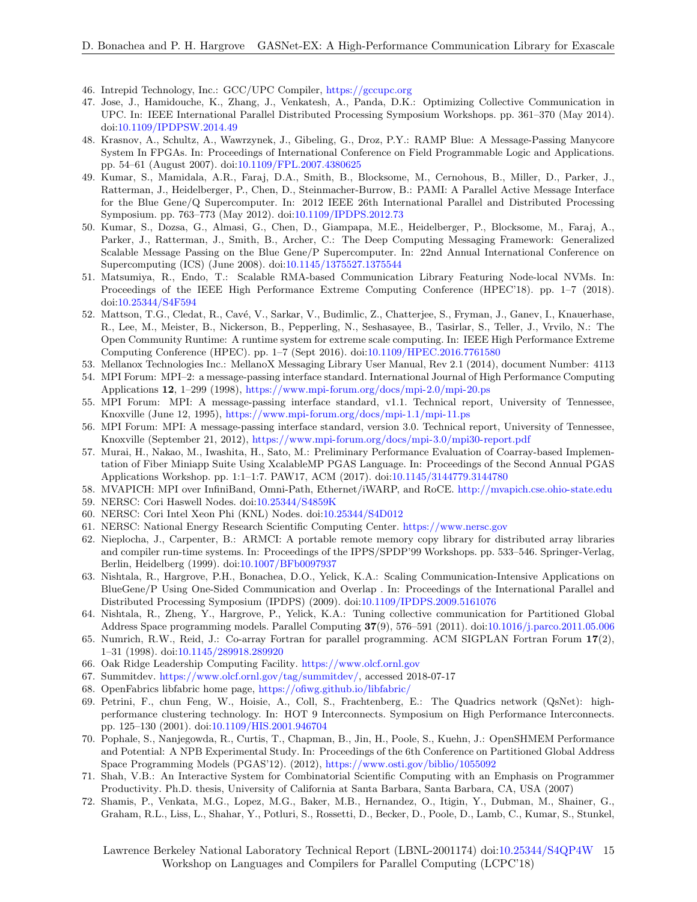- <span id="page-14-1"></span>46. Intrepid Technology, Inc.: GCC/UPC Compiler, <https://gccupc.org>
- <span id="page-14-13"></span>47. Jose, J., Hamidouche, K., Zhang, J., Venkatesh, A., Panda, D.K.: Optimizing Collective Communication in UPC. In: IEEE International Parallel Distributed Processing Symposium Workshops. pp. 361–370 (May 2014). doi[:10.1109/IPDPSW.2014.49](https://doi.org/10.1109/IPDPSW.2014.49)
- <span id="page-14-14"></span>48. Krasnov, A., Schultz, A., Wawrzynek, J., Gibeling, G., Droz, P.Y.: RAMP Blue: A Message-Passing Manycore System In FPGAs. In: Proceedings of International Conference on Field Programmable Logic and Applications. pp. 54–61 (August 2007). doi[:10.1109/FPL.2007.4380625](https://doi.org/10.1109/FPL.2007.4380625)
- <span id="page-14-8"></span>49. Kumar, S., Mamidala, A.R., Faraj, D.A., Smith, B., Blocksome, M., Cernohous, B., Miller, D., Parker, J., Ratterman, J., Heidelberger, P., Chen, D., Steinmacher-Burrow, B.: PAMI: A Parallel Active Message Interface for the Blue Gene/Q Supercomputer. In: 2012 IEEE 26th International Parallel and Distributed Processing Symposium. pp. 763–773 (May 2012). doi[:10.1109/IPDPS.2012.73](https://doi.org/10.1109/IPDPS.2012.73)
- <span id="page-14-9"></span>50. Kumar, S., Dozsa, G., Almasi, G., Chen, D., Giampapa, M.E., Heidelberger, P., Blocksome, M., Faraj, A., Parker, J., Ratterman, J., Smith, B., Archer, C.: The Deep Computing Messaging Framework: Generalized Scalable Message Passing on the Blue Gene/P Supercomputer. In: 22nd Annual International Conference on Supercomputing (ICS) (June 2008). doi[:10.1145/1375527.1375544](https://doi.org/10.1145/1375527.1375544)
- <span id="page-14-4"></span>51. Matsumiya, R., Endo, T.: Scalable RMA-based Communication Library Featuring Node-local NVMs. In: Proceedings of the IEEE High Performance Extreme Computing Conference (HPEC'18). pp. 1–7 (2018). doi[:10.25344/S4F594](https://doi.org/10.25344/S4F594)
- <span id="page-14-5"></span>52. Mattson, T.G., Cledat, R., Cavé, V., Sarkar, V., Budimlic, Z., Chatterjee, S., Fryman, J., Ganev, I., Knauerhase, R., Lee, M., Meister, B., Nickerson, B., Pepperling, N., Seshasayee, B., Tasirlar, S., Teller, J., Vrvilo, N.: The Open Community Runtime: A runtime system for extreme scale computing. In: IEEE High Performance Extreme Computing Conference (HPEC). pp. 1–7 (Sept 2016). doi[:10.1109/HPEC.2016.7761580](https://doi.org/10.1109/HPEC.2016.7761580)
- <span id="page-14-7"></span>53. Mellanox Technologies Inc.: MellanoX Messaging Library User Manual, Rev 2.1 (2014), document Number: 4113
- <span id="page-14-23"></span>54. MPI Forum: MPI–2: a message-passing interface standard. International Journal of High Performance Computing Applications 12, 1–299 (1998), <https://www.mpi-forum.org/docs/mpi-2.0/mpi-20.ps>
- <span id="page-14-12"></span>55. MPI Forum: MPI: A message-passing interface standard, v1.1. Technical report, University of Tennessee, Knoxville (June 12, 1995), <https://www.mpi-forum.org/docs/mpi-1.1/mpi-11.ps>
- <span id="page-14-24"></span>56. MPI Forum: MPI: A message-passing interface standard, version 3.0. Technical report, University of Tennessee, Knoxville (September 21, 2012), <https://www.mpi-forum.org/docs/mpi-3.0/mpi30-report.pdf>
- <span id="page-14-3"></span>57. Murai, H., Nakao, M., Iwashita, H., Sato, M.: Preliminary Performance Evaluation of Coarray-based Implementation of Fiber Miniapp Suite Using XcalableMP PGAS Language. In: Proceedings of the Second Annual PGAS Applications Workshop. pp. 1:1–1:7. PAW17, ACM (2017). doi[:10.1145/3144779.3144780](https://doi.org/10.1145/3144779.3144780)
- <span id="page-14-20"></span>58. MVAPICH: MPI over InfiniBand, Omni-Path, Ethernet/iWARP, and RoCE. <http://mvapich.cse.ohio-state.edu>
- <span id="page-14-18"></span>59. NERSC: Cori Haswell Nodes. doi[:10.25344/S4859K](https://doi.org/10.25344/S4859K)
- <span id="page-14-19"></span>60. NERSC: Cori Intel Xeon Phi (KNL) Nodes. doi[:10.25344/S4D012](https://doi.org/10.25344/S4D012)
- <span id="page-14-17"></span>61. NERSC: National Energy Research Scientific Computing Center. <https://www.nersc.gov>
- <span id="page-14-15"></span>62. Nieplocha, J., Carpenter, B.: ARMCI: A portable remote memory copy library for distributed array libraries and compiler run-time systems. In: Proceedings of the IPPS/SPDP'99 Workshops. pp. 533–546. Springer-Verlag, Berlin, Heidelberg (1999). doi[:10.1007/BFb0097937](https://doi.org/10.1007/BFb0097937)
- <span id="page-14-10"></span>63. Nishtala, R., Hargrove, P.H., Bonachea, D.O., Yelick, K.A.: Scaling Communication-Intensive Applications on BlueGene/P Using One-Sided Communication and Overlap . In: Proceedings of the International Parallel and Distributed Processing Symposium (IPDPS) (2009). doi[:10.1109/IPDPS.2009.5161076](https://doi.org/10.1109/IPDPS.2009.5161076)
- <span id="page-14-16"></span>64. Nishtala, R., Zheng, Y., Hargrove, P., Yelick, K.A.: Tuning collective communication for Partitioned Global Address Space programming models. Parallel Computing 37(9), 576–591 (2011). doi[:10.1016/j.parco.2011.05.006](https://doi.org/10.1016/j.parco.2011.05.006)
- <span id="page-14-0"></span>65. Numrich, R.W., Reid, J.: Co-array Fortran for parallel programming. ACM SIGPLAN Fortran Forum 17(2), 1–31 (1998). doi[:10.1145/289918.289920](https://doi.org/10.1145/289918.289920)
- <span id="page-14-22"></span>66. Oak Ridge Leadership Computing Facility. <https://www.olcf.ornl.gov>
- <span id="page-14-21"></span>67. Summitdev. [https://www.olcf.ornl.gov/tag/summitdev/,](https://www.olcf.ornl.gov/tag/summitdev/) accessed 2018-07-17
- <span id="page-14-25"></span>68. OpenFabrics libfabric home page, <https://ofiwg.github.io/libfabric/>
- <span id="page-14-11"></span>69. Petrini, F., chun Feng, W., Hoisie, A., Coll, S., Frachtenberg, E.: The Quadrics network (QsNet): highperformance clustering technology. In: HOT 9 Interconnects. Symposium on High Performance Interconnects. pp. 125–130 (2001). doi[:10.1109/HIS.2001.946704](https://doi.org/10.1109/HIS.2001.946704)
- <span id="page-14-2"></span>70. Pophale, S., Nanjegowda, R., Curtis, T., Chapman, B., Jin, H., Poole, S., Kuehn, J.: OpenSHMEM Performance and Potential: A NPB Experimental Study. In: Proceedings of the 6th Conference on Partitioned Global Address Space Programming Models (PGAS'12). (2012), <https://www.osti.gov/biblio/1055092>
- <span id="page-14-6"></span>71. Shah, V.B.: An Interactive System for Combinatorial Scientific Computing with an Emphasis on Programmer Productivity. Ph.D. thesis, University of California at Santa Barbara, Santa Barbara, CA, USA (2007)
- <span id="page-14-26"></span>72. Shamis, P., Venkata, M.G., Lopez, M.G., Baker, M.B., Hernandez, O., Itigin, Y., Dubman, M., Shainer, G., Graham, R.L., Liss, L., Shahar, Y., Potluri, S., Rossetti, D., Becker, D., Poole, D., Lamb, C., Kumar, S., Stunkel,